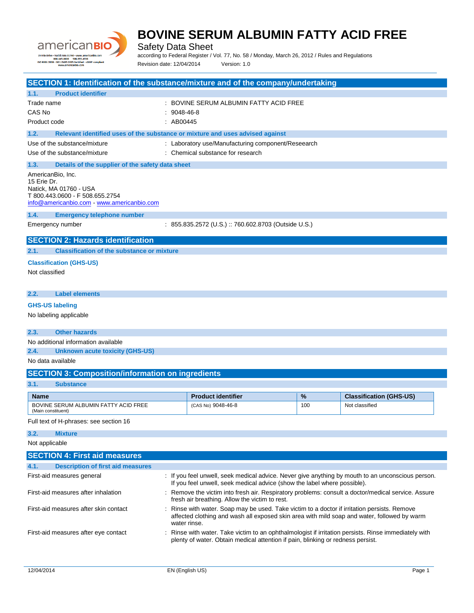

Safety Data Sheet

according to Federal Register / Vol. 77, No. 58 / Monday, March 26, 2012 / Rules and Regulations Revision date: 12/04/2014 Version: 1.0

| SECTION 1: Identification of the substance/mixture and of the company/undertaking                           |               |                                                                                                                                                                               |               |                                |
|-------------------------------------------------------------------------------------------------------------|---------------|-------------------------------------------------------------------------------------------------------------------------------------------------------------------------------|---------------|--------------------------------|
| 1.1.<br><b>Product identifier</b>                                                                           |               |                                                                                                                                                                               |               |                                |
| Trade name                                                                                                  |               | : BOVINE SERUM ALBUMIN FATTY ACID FREE                                                                                                                                        |               |                                |
| CAS No                                                                                                      | $: 9048-46-8$ |                                                                                                                                                                               |               |                                |
| Product code                                                                                                | : AB00445     |                                                                                                                                                                               |               |                                |
| Relevant identified uses of the substance or mixture and uses advised against<br>1.2.                       |               |                                                                                                                                                                               |               |                                |
| Use of the substance/mixture                                                                                |               | : Laboratory use/Manufacturing component/Reseearch                                                                                                                            |               |                                |
| Use of the substance/mixture                                                                                |               | : Chemical substance for research                                                                                                                                             |               |                                |
| 1.3.<br>Details of the supplier of the safety data sheet                                                    |               |                                                                                                                                                                               |               |                                |
| AmericanBio, Inc.                                                                                           |               |                                                                                                                                                                               |               |                                |
| 15 Erie Dr.                                                                                                 |               |                                                                                                                                                                               |               |                                |
| Natick, MA 01760 - USA<br>T 800.443.0600 - F 508.655.2754                                                   |               |                                                                                                                                                                               |               |                                |
| info@americanbio.com - www.americanbio.com                                                                  |               |                                                                                                                                                                               |               |                                |
| 1.4.<br><b>Emergency telephone number</b>                                                                   |               |                                                                                                                                                                               |               |                                |
| Emergency number                                                                                            |               | : 855.835.2572 (U.S.) :: 760.602.8703 (Outside U.S.)                                                                                                                          |               |                                |
|                                                                                                             |               |                                                                                                                                                                               |               |                                |
| <b>SECTION 2: Hazards identification</b>                                                                    |               |                                                                                                                                                                               |               |                                |
| <b>Classification of the substance or mixture</b><br>2.1.                                                   |               |                                                                                                                                                                               |               |                                |
| <b>Classification (GHS-US)</b>                                                                              |               |                                                                                                                                                                               |               |                                |
| Not classified                                                                                              |               |                                                                                                                                                                               |               |                                |
|                                                                                                             |               |                                                                                                                                                                               |               |                                |
| <b>Label elements</b><br>2.2.                                                                               |               |                                                                                                                                                                               |               |                                |
|                                                                                                             |               |                                                                                                                                                                               |               |                                |
| <b>GHS-US labeling</b>                                                                                      |               |                                                                                                                                                                               |               |                                |
| No labeling applicable                                                                                      |               |                                                                                                                                                                               |               |                                |
| <b>Other hazards</b><br>2.3.                                                                                |               |                                                                                                                                                                               |               |                                |
| No additional information available                                                                         |               |                                                                                                                                                                               |               |                                |
| 2.4.<br><b>Unknown acute toxicity (GHS-US)</b>                                                              |               |                                                                                                                                                                               |               |                                |
| No data available                                                                                           |               |                                                                                                                                                                               |               |                                |
| <b>SECTION 3: Composition/information on ingredients</b>                                                    |               |                                                                                                                                                                               |               |                                |
| 3.1.<br><b>Substance</b>                                                                                    |               |                                                                                                                                                                               |               |                                |
|                                                                                                             |               |                                                                                                                                                                               |               |                                |
| Name<br>BOVINE SERUM ALBUMIN FATTY ACID FREE                                                                |               | <b>Product identifier</b>                                                                                                                                                     | $\frac{9}{6}$ | <b>Classification (GHS-US)</b> |
| (Main constituent)                                                                                          |               | (CAS No) 9048-46-8                                                                                                                                                            | 100           | Not classified                 |
| Full text of H-phrases: see section 16                                                                      |               |                                                                                                                                                                               |               |                                |
| 3.2.<br><b>Mixture</b>                                                                                      |               |                                                                                                                                                                               |               |                                |
| Not applicable                                                                                              |               |                                                                                                                                                                               |               |                                |
| <b>SECTION 4: First aid measures</b>                                                                        |               |                                                                                                                                                                               |               |                                |
| <b>Description of first aid measures</b><br>4.1.                                                            |               |                                                                                                                                                                               |               |                                |
| First-aid measures general                                                                                  |               | : If you feel unwell, seek medical advice. Never give anything by mouth to an unconscious person.<br>If you feel unwell, seek medical advice (show the label where possible). |               |                                |
| First-aid measures after inhalation                                                                         |               | : Remove the victim into fresh air. Respiratory problems: consult a doctor/medical service. Assure<br>fresh air breathing. Allow the victim to rest.                          |               |                                |
| First-aid measures after skin contact                                                                       |               | Rinse with water. Soap may be used. Take victim to a doctor if irritation persists. Remove                                                                                    |               |                                |
| affected clothing and wash all exposed skin area with mild soap and water, followed by warm<br>water rinse. |               |                                                                                                                                                                               |               |                                |
| First-aid measures after eye contact                                                                        |               | : Rinse with water. Take victim to an ophthalmologist if irritation persists. Rinse immediately with                                                                          |               |                                |
|                                                                                                             |               | plenty of water. Obtain medical attention if pain, blinking or redness persist.                                                                                               |               |                                |
|                                                                                                             |               |                                                                                                                                                                               |               |                                |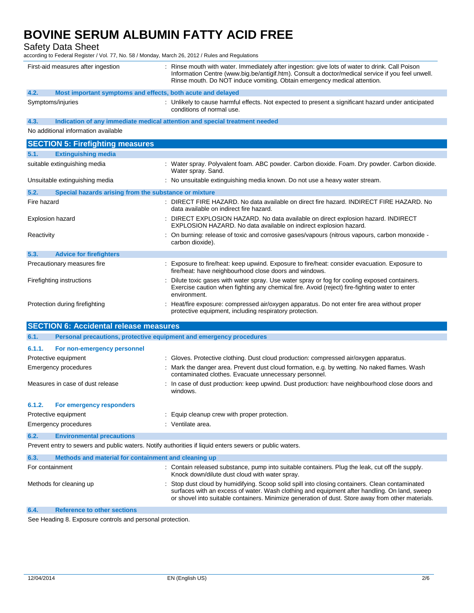Safety Data Sheet

according to Federal Register / Vol. 77, No. 58 / Monday, March 26, 2012 / Rules and Regulations

|                  | First-aid measures after ingestion                                         | : Rinse mouth with water. Immediately after ingestion: give lots of water to drink. Call Poison<br>Information Centre (www.big.be/antigif.htm). Consult a doctor/medical service if you feel unwell.<br>Rinse mouth. Do NOT induce vomiting. Obtain emergency medical attention.                   |
|------------------|----------------------------------------------------------------------------|----------------------------------------------------------------------------------------------------------------------------------------------------------------------------------------------------------------------------------------------------------------------------------------------------|
| 4.2.             | Most important symptoms and effects, both acute and delayed                |                                                                                                                                                                                                                                                                                                    |
|                  | Symptoms/injuries                                                          | : Unlikely to cause harmful effects. Not expected to present a significant hazard under anticipated<br>conditions of normal use.                                                                                                                                                                   |
| 4.3.             | Indication of any immediate medical attention and special treatment needed |                                                                                                                                                                                                                                                                                                    |
|                  | No additional information available                                        |                                                                                                                                                                                                                                                                                                    |
|                  | <b>SECTION 5: Firefighting measures</b>                                    |                                                                                                                                                                                                                                                                                                    |
| 5.1.             | <b>Extinguishing media</b>                                                 |                                                                                                                                                                                                                                                                                                    |
|                  | suitable extinguishing media                                               | : Water spray. Polyvalent foam. ABC powder. Carbon dioxide. Foam. Dry powder. Carbon dioxide.<br>Water spray. Sand.                                                                                                                                                                                |
|                  | Unsuitable extinguishing media                                             | : No unsuitable extinguishing media known. Do not use a heavy water stream.                                                                                                                                                                                                                        |
| 5.2.             | Special hazards arising from the substance or mixture                      |                                                                                                                                                                                                                                                                                                    |
| Fire hazard      |                                                                            | : DIRECT FIRE HAZARD. No data available on direct fire hazard. INDIRECT FIRE HAZARD. No<br>data available on indirect fire hazard.                                                                                                                                                                 |
| Explosion hazard |                                                                            | : DIRECT EXPLOSION HAZARD. No data available on direct explosion hazard. INDIRECT<br>EXPLOSION HAZARD. No data available on indirect explosion hazard.                                                                                                                                             |
| Reactivity       |                                                                            | : On burning: release of toxic and corrosive gases/vapours (nitrous vapours, carbon monoxide -<br>carbon dioxide).                                                                                                                                                                                 |
| 5.3.             | <b>Advice for firefighters</b>                                             |                                                                                                                                                                                                                                                                                                    |
|                  | Precautionary measures fire                                                | : Exposure to fire/heat: keep upwind. Exposure to fire/heat: consider evacuation. Exposure to<br>fire/heat: have neighbourhood close doors and windows.                                                                                                                                            |
|                  | Firefighting instructions                                                  | Dilute toxic gases with water spray. Use water spray or fog for cooling exposed containers.<br>Exercise caution when fighting any chemical fire. Avoid (reject) fire-fighting water to enter<br>environment.                                                                                       |
|                  | Protection during firefighting                                             | : Heat/fire exposure: compressed air/oxygen apparatus. Do not enter fire area without proper<br>protective equipment, including respiratory protection.                                                                                                                                            |
|                  | <b>SECTION 6: Accidental release measures</b>                              |                                                                                                                                                                                                                                                                                                    |
| 6.1.             | Personal precautions, protective equipment and emergency procedures        |                                                                                                                                                                                                                                                                                                    |
| 6.1.1.           | For non-emergency personnel                                                |                                                                                                                                                                                                                                                                                                    |
|                  | Protective equipment                                                       | : Gloves. Protective clothing. Dust cloud production: compressed air/oxygen apparatus.                                                                                                                                                                                                             |
|                  | <b>Emergency procedures</b>                                                | : Mark the danger area. Prevent dust cloud formation, e.g. by wetting. No naked flames. Wash<br>contaminated clothes. Evacuate unnecessary personnel.                                                                                                                                              |
|                  | Measures in case of dust release                                           | : In case of dust production: keep upwind. Dust production: have neighbourhood close doors and<br>windows.                                                                                                                                                                                         |
| 6.1.2.           | <b>For emergency responders</b>                                            |                                                                                                                                                                                                                                                                                                    |
|                  | Protective equipment                                                       | : Equip cleanup crew with proper protection.                                                                                                                                                                                                                                                       |
|                  | <b>Emergency procedures</b>                                                | : Ventilate area.                                                                                                                                                                                                                                                                                  |
| 6.2.             | <b>Environmental precautions</b>                                           |                                                                                                                                                                                                                                                                                                    |
|                  |                                                                            | Prevent entry to sewers and public waters. Notify authorities if liquid enters sewers or public waters.                                                                                                                                                                                            |
| 6.3.             | Methods and material for containment and cleaning up                       |                                                                                                                                                                                                                                                                                                    |
| For containment  |                                                                            | : Contain released substance, pump into suitable containers. Plug the leak, cut off the supply.<br>Knock down/dilute dust cloud with water spray.                                                                                                                                                  |
|                  | Methods for cleaning up                                                    | Stop dust cloud by humidifying. Scoop solid spill into closing containers. Clean contaminated<br>surfaces with an excess of water. Wash clothing and equipment after handling. On land, sweep<br>or shovel into suitable containers. Minimize generation of dust. Store away from other materials. |
| 6.4.             | <b>Reference to other sections</b>                                         |                                                                                                                                                                                                                                                                                                    |

See Heading 8. Exposure controls and personal protection.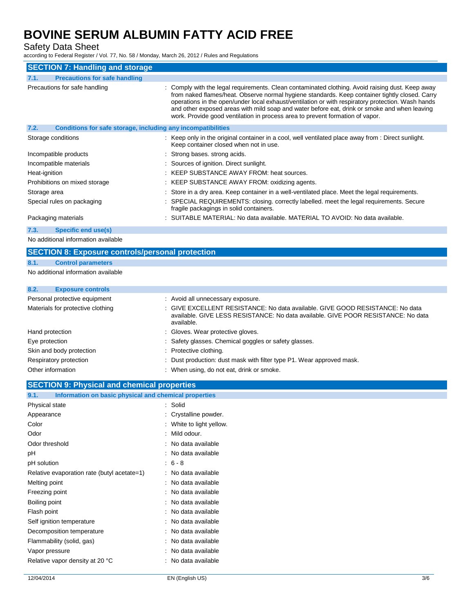Safety Data Sheet

according to Federal Register / Vol. 77, No. 58 / Monday, March 26, 2012 / Rules and Regulations

| <b>SECTION 7: Handling and storage</b>                               |                                                                                                                                                                                                                                                                                                                                                                                                                                                                                          |  |  |
|----------------------------------------------------------------------|------------------------------------------------------------------------------------------------------------------------------------------------------------------------------------------------------------------------------------------------------------------------------------------------------------------------------------------------------------------------------------------------------------------------------------------------------------------------------------------|--|--|
| <b>Precautions for safe handling</b><br>7.1.                         |                                                                                                                                                                                                                                                                                                                                                                                                                                                                                          |  |  |
| Precautions for safe handling                                        | : Comply with the legal requirements. Clean contaminated clothing. Avoid raising dust. Keep away<br>from naked flames/heat. Observe normal hygiene standards. Keep container tightly closed. Carry<br>operations in the open/under local exhaust/ventilation or with respiratory protection. Wash hands<br>and other exposed areas with mild soap and water before eat, drink or smoke and when leaving<br>work. Provide good ventilation in process area to prevent formation of vapor. |  |  |
| 7.2.<br>Conditions for safe storage, including any incompatibilities |                                                                                                                                                                                                                                                                                                                                                                                                                                                                                          |  |  |
| Storage conditions                                                   | : Keep only in the original container in a cool, well ventilated place away from : Direct sunlight.<br>Keep container closed when not in use.                                                                                                                                                                                                                                                                                                                                            |  |  |
| Incompatible products                                                | : Strong bases, strong acids.                                                                                                                                                                                                                                                                                                                                                                                                                                                            |  |  |
| Incompatible materials                                               | : Sources of ignition. Direct sunlight.                                                                                                                                                                                                                                                                                                                                                                                                                                                  |  |  |
| Heat-ignition                                                        | : KEEP SUBSTANCE AWAY FROM: heat sources.                                                                                                                                                                                                                                                                                                                                                                                                                                                |  |  |
| Prohibitions on mixed storage                                        | : KEEP SUBSTANCE AWAY FROM: oxidizing agents.                                                                                                                                                                                                                                                                                                                                                                                                                                            |  |  |
| Storage area                                                         | : Store in a dry area. Keep container in a well-ventilated place. Meet the legal requirements.                                                                                                                                                                                                                                                                                                                                                                                           |  |  |
| Special rules on packaging                                           | : SPECIAL REQUIREMENTS: closing. correctly labelled. meet the legal requirements. Secure<br>fragile packagings in solid containers.                                                                                                                                                                                                                                                                                                                                                      |  |  |
| Packaging materials                                                  | : SUITABLE MATERIAL: No data available. MATERIAL TO AVOID: No data available.                                                                                                                                                                                                                                                                                                                                                                                                            |  |  |
| Specific end use(s)<br>7.3.                                          |                                                                                                                                                                                                                                                                                                                                                                                                                                                                                          |  |  |

No additional information available

### **SECTION 8: Exposure controls/personal protection**

### **8.1. Control parameters**

No additional information available

## **8.2. Exposure controls**

| Personal protective equipment     | : Avoid all unnecessary exposure.                                                                                                                                                |
|-----------------------------------|----------------------------------------------------------------------------------------------------------------------------------------------------------------------------------|
| Materials for protective clothing | : GIVE EXCELLENT RESISTANCE: No data available. GIVE GOOD RESISTANCE: No data<br>available. GIVE LESS RESISTANCE: No data available. GIVE POOR RESISTANCE: No data<br>available. |
| Hand protection                   | : Gloves. Wear protective gloves.                                                                                                                                                |
| Eye protection                    | : Safety glasses. Chemical goggles or safety glasses.                                                                                                                            |
| Skin and body protection          | : Protective clothing.                                                                                                                                                           |
| Respiratory protection            | : Dust production: dust mask with filter type P1. Wear approved mask.                                                                                                            |
| Other information                 | : When using, do not eat, drink or smoke.                                                                                                                                        |

## **SECTION 9: Physical and chemical properties**

| Information on basic physical and chemical properties<br>9.1. |                        |
|---------------------------------------------------------------|------------------------|
| Physical state                                                | : Solid                |
| Appearance                                                    | Crystalline powder.    |
| Color                                                         | White to light yellow. |
| Odor                                                          | Mild odour.            |
| Odor threshold                                                | No data available      |
| рH                                                            | No data available      |
| pH solution                                                   | $6 - 8$                |
| Relative evaporation rate (butyl acetate=1)                   | No data available      |
| Melting point                                                 | No data available      |
| Freezing point                                                | No data available      |
| Boiling point                                                 | No data available      |
| Flash point                                                   | No data available      |
| Self ignition temperature                                     | No data available      |
| Decomposition temperature                                     | No data available      |
| Flammability (solid, gas)                                     | No data available      |
| Vapor pressure                                                | No data available      |
| Relative vapor density at 20 °C                               | No data available      |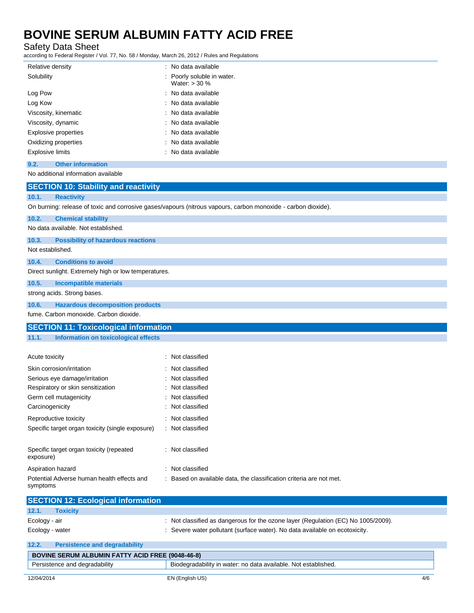Safety Data Sheet

according to Federal Register / Vol. 77, No. 58 / Monday, March 26, 2012 / Rules and Regulations

| Relative density                                                                                              | : No data available                           |  |  |  |
|---------------------------------------------------------------------------------------------------------------|-----------------------------------------------|--|--|--|
| Solubility                                                                                                    | : Poorly soluble in water.<br>Water: $>$ 30 % |  |  |  |
| Log Pow                                                                                                       | : No data available                           |  |  |  |
| Log Kow                                                                                                       | : No data available                           |  |  |  |
| Viscosity, kinematic                                                                                          | : No data available                           |  |  |  |
| Viscosity, dynamic                                                                                            | : No data available                           |  |  |  |
| Explosive properties                                                                                          | : No data available                           |  |  |  |
| Oxidizing properties                                                                                          | : No data available                           |  |  |  |
| <b>Explosive limits</b>                                                                                       | : No data available                           |  |  |  |
| <b>Other information</b><br>9.2.                                                                              |                                               |  |  |  |
| No additional information available                                                                           |                                               |  |  |  |
| <b>SECTION 10: Stability and reactivity</b>                                                                   |                                               |  |  |  |
| 10.1.<br><b>Reactivity</b>                                                                                    |                                               |  |  |  |
| On burning: release of toxic and corrosive gases/vapours (nitrous vapours, carbon monoxide - carbon dioxide). |                                               |  |  |  |
| 10.2.<br><b>Chemical stability</b>                                                                            |                                               |  |  |  |
| No data available. Not established.                                                                           |                                               |  |  |  |
| <b>Possibility of hazardous reactions</b><br>10.3.                                                            |                                               |  |  |  |

Not established.

#### **10.4. Conditions to avoid**

Direct sunlight. Extremely high or low temperatures.

### **10.5. Incompatible materials**

strong acids. Strong bases.

#### **10.6. Hazardous decomposition products**

fume. Carbon monoxide. Carbon dioxide.

|       | <b>SECTION 11: Toxicological information</b> |
|-------|----------------------------------------------|
| 11.1. | Information on toxicological effects         |
|       |                                              |

| Acute toxicity                                         | : Not classified                                                    |
|--------------------------------------------------------|---------------------------------------------------------------------|
| Skin corrosion/irritation                              | : Not classified                                                    |
| Serious eye damage/irritation                          | : Not classified                                                    |
| Respiratory or skin sensitization                      | : Not classified                                                    |
| Germ cell mutagenicity                                 | : Not classified                                                    |
| Carcinogenicity                                        | : Not classified                                                    |
| Reproductive toxicity                                  | : Not classified                                                    |
| Specific target organ toxicity (single exposure)       | : Not classified                                                    |
| Specific target organ toxicity (repeated<br>exposure)  | : Not classified                                                    |
| Aspiration hazard                                      | : Not classified                                                    |
| Potential Adverse human health effects and<br>symptoms | : Based on available data, the classification criteria are not met. |

|                 | <b>SECTION 12: Ecological information</b> |                                                                                   |
|-----------------|-------------------------------------------|-----------------------------------------------------------------------------------|
| 12.1.           | <b>Toxicity</b>                           |                                                                                   |
| Ecology - air   |                                           | : Not classified as dangerous for the ozone layer (Regulation (EC) No 1005/2009). |
| Ecology - water |                                           | : Severe water pollutant (surface water). No data available on ecotoxicity.       |
| 12.2.           | <b>Persistence and degradability</b>      |                                                                                   |
|                 |                                           |                                                                                   |

| <b>BOVINE SERUM ALBUMIN FATTY ACID FREE (9048-46-8)</b> |                                                                |     |
|---------------------------------------------------------|----------------------------------------------------------------|-----|
| Persistence and degradability                           | Biodegradability in water: no data available. Not established. |     |
| 12/04/2014                                              | EN (English US)                                                | 4/6 |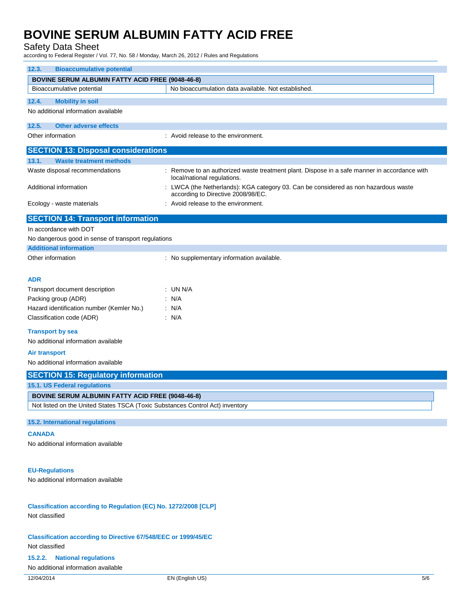### Safety Data Sheet

according to Federal Register / Vol. 77, No. 58 / Monday, March 26, 2012 / Rules and Regulations

| <b>Bioaccumulative potential</b><br>12.3.                                     |                                                                                                                             |  |  |  |
|-------------------------------------------------------------------------------|-----------------------------------------------------------------------------------------------------------------------------|--|--|--|
| <b>BOVINE SERUM ALBUMIN FATTY ACID FREE (9048-46-8)</b>                       |                                                                                                                             |  |  |  |
| Bioaccumulative potential                                                     | No bioaccumulation data available. Not established.                                                                         |  |  |  |
| 12.4.<br><b>Mobility in soil</b>                                              |                                                                                                                             |  |  |  |
| No additional information available                                           |                                                                                                                             |  |  |  |
|                                                                               |                                                                                                                             |  |  |  |
| <b>Other adverse effects</b><br>12.5.                                         |                                                                                                                             |  |  |  |
| Other information                                                             | : Avoid release to the environment.                                                                                         |  |  |  |
| <b>SECTION 13: Disposal considerations</b>                                    |                                                                                                                             |  |  |  |
| 13.1.<br><b>Waste treatment methods</b>                                       |                                                                                                                             |  |  |  |
| Waste disposal recommendations                                                | : Remove to an authorized waste treatment plant. Dispose in a safe manner in accordance with<br>local/national regulations. |  |  |  |
| Additional information                                                        | LWCA (the Netherlands): KGA category 03. Can be considered as non hazardous waste<br>according to Directive 2008/98/EC.     |  |  |  |
| Ecology - waste materials                                                     | : Avoid release to the environment.                                                                                         |  |  |  |
| <b>SECTION 14: Transport information</b>                                      |                                                                                                                             |  |  |  |
| In accordance with DOT                                                        |                                                                                                                             |  |  |  |
| No dangerous good in sense of transport regulations                           |                                                                                                                             |  |  |  |
| <b>Additional information</b>                                                 |                                                                                                                             |  |  |  |
| Other information                                                             | : No supplementary information available.                                                                                   |  |  |  |
|                                                                               |                                                                                                                             |  |  |  |
| <b>ADR</b>                                                                    |                                                                                                                             |  |  |  |
| Transport document description                                                | : UN N/A                                                                                                                    |  |  |  |
| Packing group (ADR)                                                           | : N/A                                                                                                                       |  |  |  |
| Hazard identification number (Kemler No.)                                     | : N/A                                                                                                                       |  |  |  |
| Classification code (ADR)                                                     | : N/A                                                                                                                       |  |  |  |
| <b>Transport by sea</b>                                                       |                                                                                                                             |  |  |  |
| No additional information available                                           |                                                                                                                             |  |  |  |
|                                                                               |                                                                                                                             |  |  |  |
| Air transport                                                                 |                                                                                                                             |  |  |  |
| No additional information available                                           |                                                                                                                             |  |  |  |
| <b>SECTION 15: Regulatory information</b>                                     |                                                                                                                             |  |  |  |
| 15.1. US Federal regulations                                                  |                                                                                                                             |  |  |  |
| <b>BOVINE SERUM ALBUMIN FATTY ACID FREE (9048-46-8)</b>                       |                                                                                                                             |  |  |  |
| Not listed on the United States TSCA (Toxic Substances Control Act) inventory |                                                                                                                             |  |  |  |
| 15.2. International regulations                                               |                                                                                                                             |  |  |  |
|                                                                               |                                                                                                                             |  |  |  |
| <b>CANADA</b>                                                                 |                                                                                                                             |  |  |  |
| No additional information available                                           |                                                                                                                             |  |  |  |
|                                                                               |                                                                                                                             |  |  |  |
| <b>EU-Regulations</b>                                                         |                                                                                                                             |  |  |  |
| No additional information available                                           |                                                                                                                             |  |  |  |
|                                                                               |                                                                                                                             |  |  |  |
|                                                                               |                                                                                                                             |  |  |  |
| Classification according to Regulation (EC) No. 1272/2008 [CLP]               |                                                                                                                             |  |  |  |
| Not classified                                                                |                                                                                                                             |  |  |  |
|                                                                               |                                                                                                                             |  |  |  |
| <b>Classification according to Directive 67/548/EEC or 1999/45/EC</b>         |                                                                                                                             |  |  |  |
| Not classified                                                                |                                                                                                                             |  |  |  |
| <b>National regulations</b><br>15.2.2.                                        |                                                                                                                             |  |  |  |
| No additional information available                                           |                                                                                                                             |  |  |  |